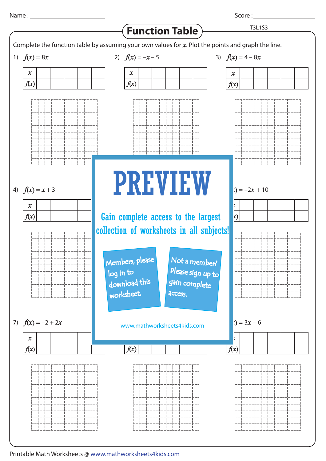Score :